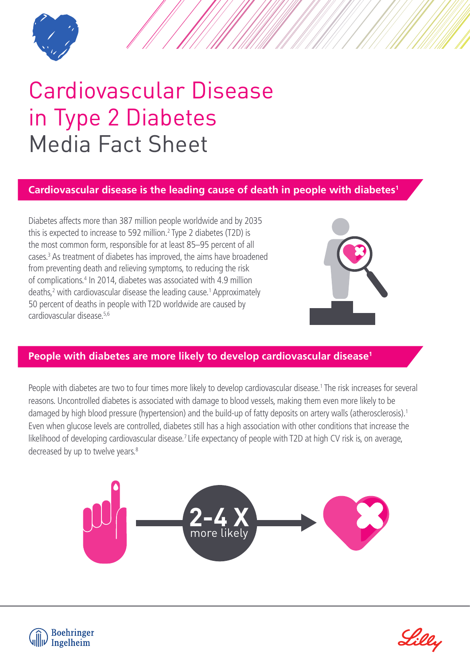

## Cardiovascular Disease in Type 2 Diabetes Media Fact Sheet

## **Cardiovascular disease is the leading cause of death in people with diabetes1**

Diabetes affects more than 387 million people worldwide and by 2035 this is expected to increase to 592 million.<sup>2</sup> Type 2 diabetes (T2D) is the most common form, responsible for at least 85–95 percent of all cases.<sup>3</sup> As treatment of diabetes has improved, the aims have broadened from preventing death and relieving symptoms, to reducing the risk of complications.<sup>4</sup> In 2014, diabetes was associated with 4.9 million deaths,<sup>2</sup> with cardiovascular disease the leading cause.<sup>1</sup> Approximately 50 percent of deaths in people with T2D worldwide are caused by cardiovascular disease.5,6



## **People with diabetes are more likely to develop cardiovascular disease1**

People with diabetes are two to four times more likely to develop cardiovascular disease.<sup>1</sup> The risk increases for several reasons. Uncontrolled diabetes is associated with damage to blood vessels, making them even more likely to be damaged by high blood pressure (hypertension) and the build-up of fatty deposits on artery walls (atherosclerosis).<sup>1</sup> Even when glucose levels are controlled, diabetes still has a high association with other conditions that increase the likelihood of developing cardiovascular disease.<sup>7</sup> Life expectancy of people with T2D at high CV risk is, on average, decreased by up to twelve years.<sup>8</sup>